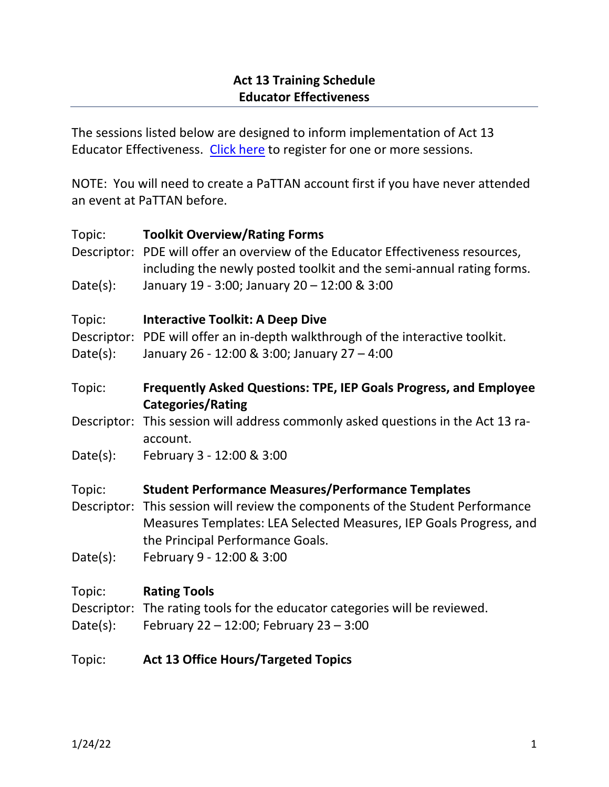The sessions listed below are designed to inform implementation of Act 13 Educator Effectiveness. [Click here](https://www.solutionwhere.com/wwpattan/Aspx/Public/Search/ShowConferenceNew.aspx?courseNum=3015&cId=21&pCId=0) to register for one or more sessions.

NOTE: You will need to create a PaTTAN account first if you have never attended an event at PaTTAN before.

| Topic:      | <b>Toolkit Overview/Rating Forms</b>                                                                 |
|-------------|------------------------------------------------------------------------------------------------------|
|             | Descriptor: PDE will offer an overview of the Educator Effectiveness resources,                      |
|             | including the newly posted toolkit and the semi-annual rating forms.                                 |
| Date(s):    | January 19 - 3:00; January 20 - 12:00 & 3:00                                                         |
| Topic:      | <b>Interactive Toolkit: A Deep Dive</b>                                                              |
|             | Descriptor: PDE will offer an in-depth walkthrough of the interactive toolkit.                       |
| Date(s):    | January 26 - 12:00 & 3:00; January 27 - 4:00                                                         |
| Topic:      | <b>Frequently Asked Questions: TPE, IEP Goals Progress, and Employee</b><br><b>Categories/Rating</b> |
| Descriptor: | This session will address commonly asked questions in the Act 13 ra-                                 |
|             | account.                                                                                             |
| Date(s):    | February 3 - 12:00 & 3:00                                                                            |
| Topic:      | <b>Student Performance Measures/Performance Templates</b>                                            |
| Descriptor: | This session will review the components of the Student Performance                                   |
|             | Measures Templates: LEA Selected Measures, IEP Goals Progress, and                                   |
|             | the Principal Performance Goals.                                                                     |
| Date(s):    | February 9 - 12:00 & 3:00                                                                            |
| Topic:      | <b>Rating Tools</b>                                                                                  |
|             | Descriptor: The rating tools for the educator categories will be reviewed.                           |
| Date(s):    | February 22 - 12:00; February 23 - 3:00                                                              |
| Topic:      | <b>Act 13 Office Hours/Targeted Topics</b>                                                           |